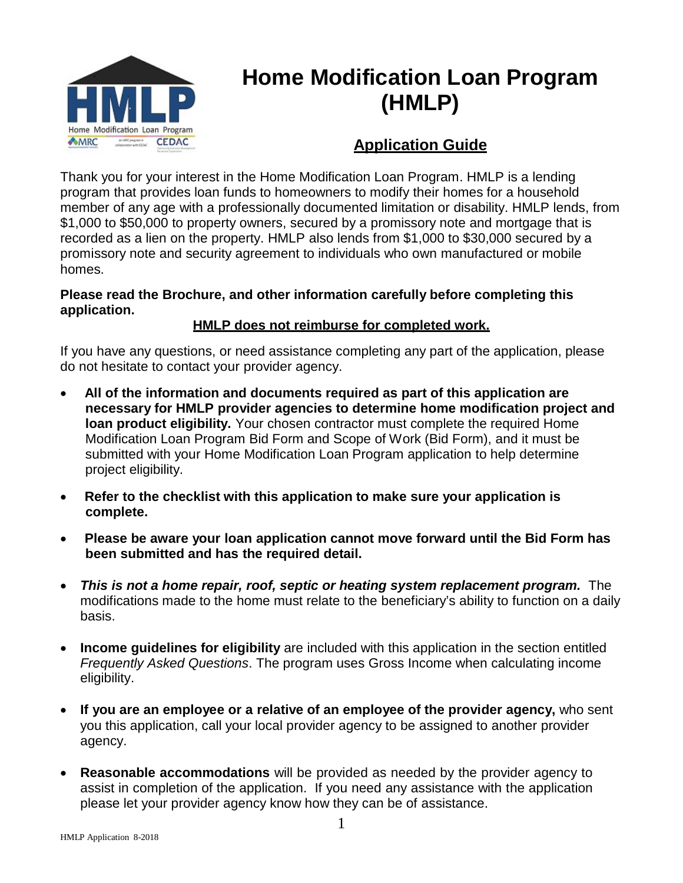

# **Home Modification Loan Program (HMLP)**

# **Application Guide**

Thank you for your interest in the Home Modification Loan Program. HMLP is a lending program that provides loan funds to homeowners to modify their homes for a household member of any age with a professionally documented limitation or disability. HMLP lends, from \$1,000 to \$50,000 to property owners, secured by a promissory note and mortgage that is recorded as a lien on the property. HMLP also lends from \$1,000 to \$30,000 secured by a promissory note and security agreement to individuals who own manufactured or mobile homes.

#### **Please read the Brochure, and other information carefully before completing this application.**

### **HMLP does not reimburse for completed work.**

If you have any questions, or need assistance completing any part of the application, please do not hesitate to contact your provider agency.

- **All of the information and documents required as part of this application are necessary for HMLP provider agencies to determine home modification project and loan product eligibility.** Your chosen contractor must complete the required Home Modification Loan Program Bid Form and Scope of Work (Bid Form), and it must be submitted with your Home Modification Loan Program application to help determine project eligibility.
- **Refer to the checklist with this application to make sure your application is complete.**
- **Please be aware your loan application cannot move forward until the Bid Form has been submitted and has the required detail.**
- *This is not a home repair, roof, septic or heating system replacement program.* The modifications made to the home must relate to the beneficiary's ability to function on a daily basis.
- **Income guidelines for eligibility** are included with this application in the section entitled *Frequently Asked Questions*. The program uses Gross Income when calculating income eligibility.
- **If you are an employee or a relative of an employee of the provider agency,** who sent you this application, call your local provider agency to be assigned to another provider agency.
- **Reasonable accommodations** will be provided as needed by the provider agency to assist in completion of the application. If you need any assistance with the application please let your provider agency know how they can be of assistance.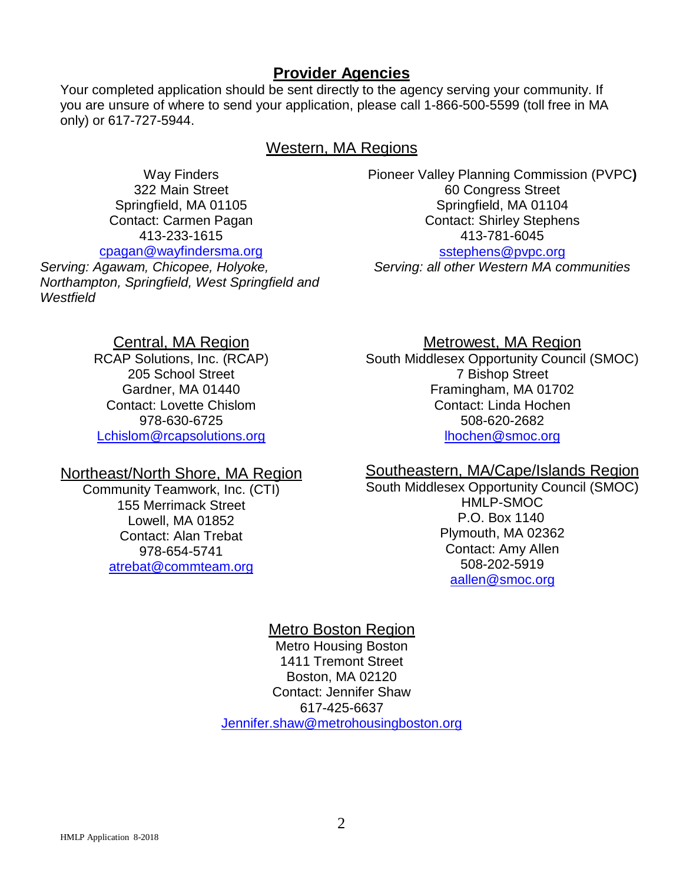### **Provider Agencies**

Your completed application should be sent directly to the agency serving your community. If you are unsure of where to send your application, please call 1-866-500-5599 (toll free in MA only) or 617-727-5944.

#### Western, MA Regions

Way Finders 322 Main Street Springfield, MA 01105 Contact: Carmen Pagan 413-233-1615 [cpagan@wayfindersma.org](mailto:cpagan@wayfindersma.org)

*Serving: Agawam, Chicopee, Holyoke, Northampton, Springfield, West Springfield and Westfield*

Central, MA Region

RCAP Solutions, Inc. (RCAP) 205 School Street Gardner, MA 01440 Contact: Lovette Chislom 978-630-6725 [Lchislom@rcapsolutions.org](mailto:Lchislom@rcapsolutions.org)

#### Northeast/North Shore, MA Region

Community Teamwork, Inc. (CTI) 155 Merrimack Street Lowell, MA 01852 Contact: Alan Trebat 978-654-5741 [atrebat@commteam.org](mailto:atrebat@commteam.org)

Pioneer Valley Planning Commission (PVPC**)** 60 Congress Street Springfield, MA 01104 Contact: Shirley Stephens 413-781-6045 [sstephens@pvpc.org](mailto:sstephens@pvpc.org)

*Serving: all other Western MA communities*

#### Metrowest, MA Region

South Middlesex Opportunity Council (SMOC) 7 Bishop Street Framingham, MA 01702 Contact: Linda Hochen 508-620-2682 [lhochen@smoc.org](mailto:lhochen@smoc.org)

#### Southeastern, MA/Cape/Islands Region

South Middlesex Opportunity Council (SMOC) HMLP-SMOC P.O. Box 1140 Plymouth, MA 02362 Contact: Amy Allen 508-202-5919 [aallen@smoc.org](mailto:aallen@smoc.org)

### Metro Boston Region

Metro Housing Boston 1411 Tremont Street Boston, MA 02120 Contact: Jennifer Shaw 617-425-6637 [Jennifer.shaw@metrohousingboston.org](mailto:Jennifer.shaw@metrohousingboston.org)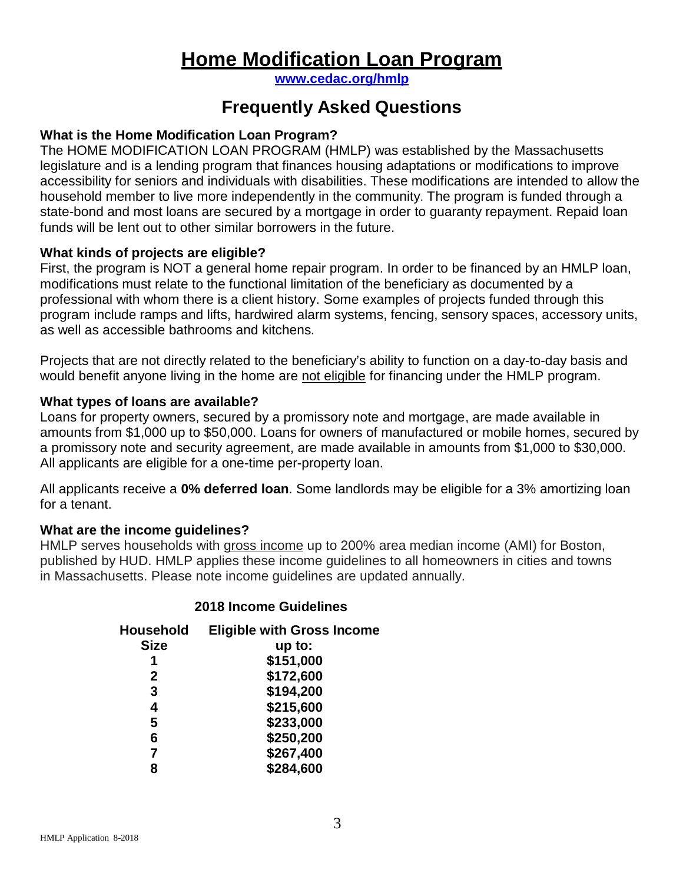# **Home Modification Loan Program**

**[www.cedac.org/hmlp](http://www.cedac.org/hmlp)**

# **Frequently Asked Questions**

#### **What is the Home Modification Loan Program?**

The HOME MODIFICATION LOAN PROGRAM (HMLP) was established by the Massachusetts legislature and is a lending program that finances housing adaptations or modifications to improve accessibility for seniors and individuals with disabilities. These modifications are intended to allow the household member to live more independently in the community. The program is funded through a state-bond and most loans are secured by a mortgage in order to guaranty repayment. Repaid loan funds will be lent out to other similar borrowers in the future.

#### **What kinds of projects are eligible?**

First, the program is NOT a general home repair program. In order to be financed by an HMLP loan, modifications must relate to the functional limitation of the beneficiary as documented by a professional with whom there is a client history. Some examples of projects funded through this program include ramps and lifts, hardwired alarm systems, fencing, sensory spaces, accessory units, as well as accessible bathrooms and kitchens.

Projects that are not directly related to the beneficiary's ability to function on a day-to-day basis and would benefit anyone living in the home are not eligible for financing under the HMLP program.

#### **What types of loans are available?**

Loans for property owners, secured by a promissory note and mortgage, are made available in amounts from \$1,000 up to \$50,000. Loans for owners of manufactured or mobile homes, secured by a promissory note and security agreement, are made available in amounts from \$1,000 to \$30,000. All applicants are eligible for a one-time per-property loan.

All applicants receive a **0% deferred loan**. Some landlords may be eligible for a 3% amortizing loan for a tenant.

#### **What are the income guidelines?**

HMLP serves households with gross income up to 200% area median income (AMI) for Boston, published by HUD. HMLP applies these income guidelines to all homeowners in cities and towns in Massachusetts. Please note income guidelines are updated annually.

#### **2018 Income Guidelines**

| <b>Household</b> | <b>Eligible with Gross Income</b> |
|------------------|-----------------------------------|
| <b>Size</b>      | $up$ to:                          |
|                  | \$151,000                         |
| $\mathbf{2}$     | \$172,600                         |
| 3                | \$194,200                         |
| 4                | \$215,600                         |
| 5                | \$233,000                         |
| 6                | \$250,200                         |
| 7                | \$267,400                         |
| 8                | \$284,600                         |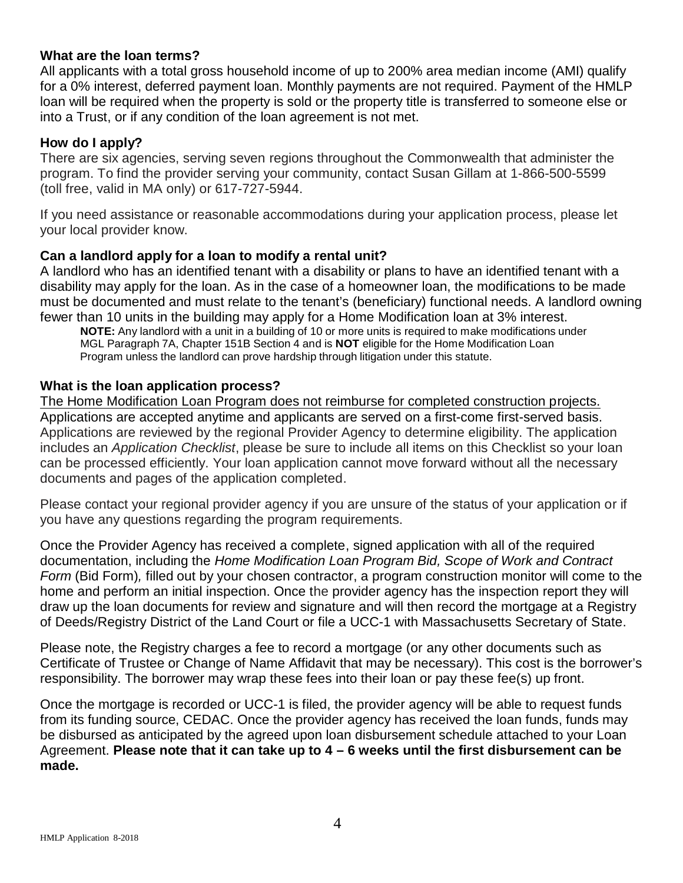#### **What are the loan terms?**

All applicants with a total gross household income of up to 200% area median income (AMI) qualify for a 0% interest, deferred payment loan. Monthly payments are not required. Payment of the HMLP loan will be required when the property is sold or the property title is transferred to someone else or into a Trust, or if any condition of the loan agreement is not met.

### **How do I apply?**

There are six agencies, serving seven regions throughout the Commonwealth that administer the program. To find the provider serving your community, contact Susan Gillam at 1-866-500-5599 (toll free, valid in MA only) or 617-727-5944.

If you need assistance or reasonable accommodations during your application process, please let your local provider know.

#### **Can a landlord apply for a loan to modify a rental unit?**

A landlord who has an identified tenant with a disability or plans to have an identified tenant with a disability may apply for the loan. As in the case of a homeowner loan, the modifications to be made must be documented and must relate to the tenant's (beneficiary) functional needs. A landlord owning fewer than 10 units in the building may apply for a Home Modification loan at 3% interest.

**NOTE:** Any landlord with a unit in a building of 10 or more units is required to make modifications under MGL Paragraph 7A, Chapter 151B Section 4 and is **NOT** eligible for the Home Modification Loan Program unless the landlord can prove hardship through litigation under this statute.

#### **What is the loan application process?**

The Home Modification Loan Program does not reimburse for completed construction projects. Applications are accepted anytime and applicants are served on a first-come first-served basis. Applications are reviewed by the regional Provider Agency to determine eligibility. The application includes an *Application Checklist*, please be sure to include all items on this Checklist so your loan can be processed efficiently. Your loan application cannot move forward without all the necessary documents and pages of the application completed.

Please contact your regional provider agency if you are unsure of the status of your application or if you have any questions regarding the program requirements.

Once the Provider Agency has received a complete, signed application with all of the required documentation, including the *Home Modification Loan Program Bid, Scope of Work and Contract Form* (Bid Form)*,* filled out by your chosen contractor, a program construction monitor will come to the home and perform an initial inspection. Once the provider agency has the inspection report they will draw up the loan documents for review and signature and will then record the mortgage at a Registry of Deeds/Registry District of the Land Court or file a UCC-1 with Massachusetts Secretary of State.

Please note, the Registry charges a fee to record a mortgage (or any other documents such as Certificate of Trustee or Change of Name Affidavit that may be necessary). This cost is the borrower's responsibility. The borrower may wrap these fees into their loan or pay these fee(s) up front.

Once the mortgage is recorded or UCC-1 is filed, the provider agency will be able to request funds from its funding source, CEDAC. Once the provider agency has received the loan funds, funds may be disbursed as anticipated by the agreed upon loan disbursement schedule attached to your Loan Agreement. **Please note that it can take up to 4 – 6 weeks until the first disbursement can be made.**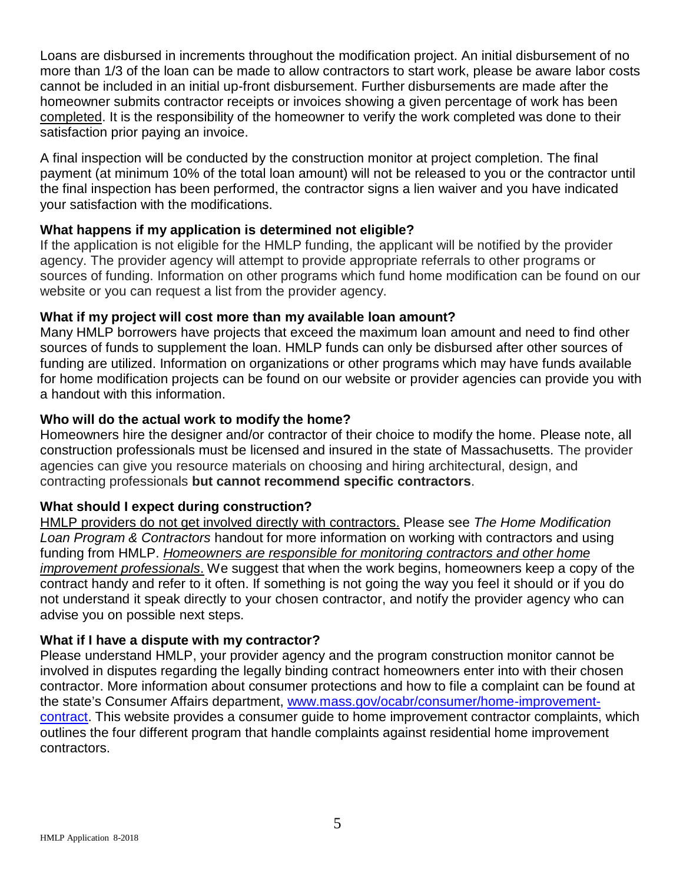Loans are disbursed in increments throughout the modification project. An initial disbursement of no more than 1/3 of the loan can be made to allow contractors to start work, please be aware labor costs cannot be included in an initial up-front disbursement. Further disbursements are made after the homeowner submits contractor receipts or invoices showing a given percentage of work has been completed. It is the responsibility of the homeowner to verify the work completed was done to their satisfaction prior paying an invoice.

A final inspection will be conducted by the construction monitor at project completion. The final payment (at minimum 10% of the total loan amount) will not be released to you or the contractor until the final inspection has been performed, the contractor signs a lien waiver and you have indicated your satisfaction with the modifications.

### **What happens if my application is determined not eligible?**

If the application is not eligible for the HMLP funding, the applicant will be notified by the provider agency. The provider agency will attempt to provide appropriate referrals to other programs or sources of funding. Information on other programs which fund home modification can be found on our website or you can request a list from the provider agency.

#### **What if my project will cost more than my available loan amount?**

Many HMLP borrowers have projects that exceed the maximum loan amount and need to find other sources of funds to supplement the loan. HMLP funds can only be disbursed after other sources of funding are utilized. Information on organizations or other programs which may have funds available for home modification projects can be found on our website or provider agencies can provide you with a handout with this information.

#### **Who will do the actual work to modify the home?**

Homeowners hire the designer and/or contractor of their choice to modify the home. Please note, all construction professionals must be licensed and insured in the state of Massachusetts. The provider agencies can give you resource materials on choosing and hiring architectural, design, and contracting professionals **but cannot recommend specific contractors**.

#### **What should I expect during construction?**

HMLP providers do not get involved directly with contractors. Please see *The Home Modification Loan Program & Contractors* handout for more information on working with contractors and using funding from HMLP. *Homeowners are responsible for monitoring contractors and other home improvement professionals*. We suggest that when the work begins, homeowners keep a copy of the contract handy and refer to it often. If something is not going the way you feel it should or if you do not understand it speak directly to your chosen contractor, and notify the provider agency who can advise you on possible next steps.

#### **What if I have a dispute with my contractor?**

Please understand HMLP, your provider agency and the program construction monitor cannot be involved in disputes regarding the legally binding contract homeowners enter into with their chosen contractor. More information about consumer protections and how to file a complaint can be found at the state's Consumer Affairs department, [www.mass.gov/ocabr/consumer/home-improvement](http://www.mass.gov/ocabr/consumer/home-improvement-contract)[contract.](http://www.mass.gov/ocabr/consumer/home-improvement-contract) This website provides a consumer guide to home improvement contractor complaints, which outlines the four different program that handle complaints against residential home improvement contractors.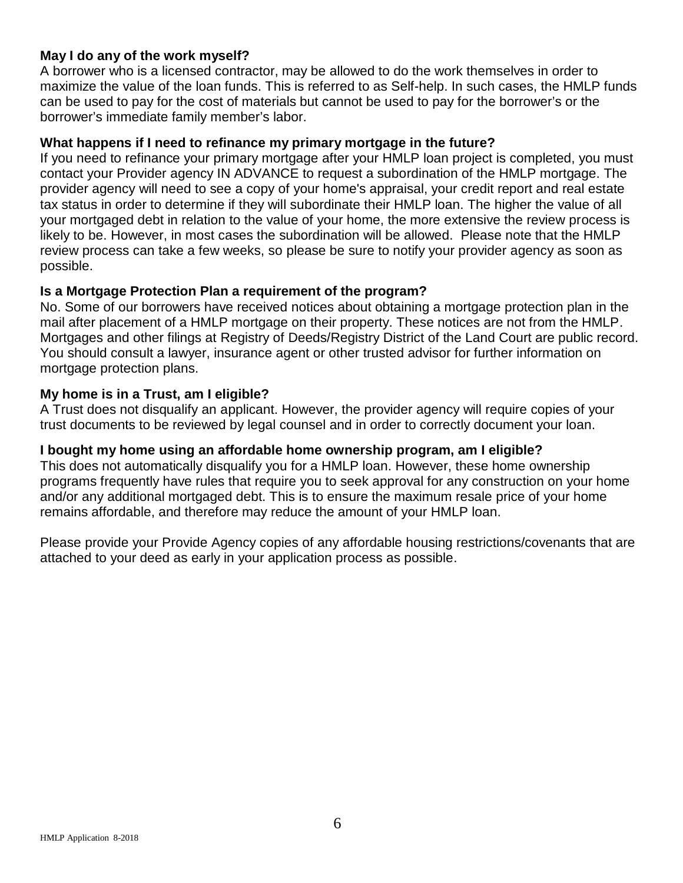#### **May I do any of the work myself?**

A borrower who is a licensed contractor, may be allowed to do the work themselves in order to maximize the value of the loan funds. This is referred to as Self-help. In such cases, the HMLP funds can be used to pay for the cost of materials but cannot be used to pay for the borrower's or the borrower's immediate family member's labor.

#### **What happens if I need to refinance my primary mortgage in the future?**

If you need to refinance your primary mortgage after your HMLP loan project is completed, you must contact your Provider agency IN ADVANCE to request a subordination of the HMLP mortgage. The provider agency will need to see a copy of your home's appraisal, your credit report and real estate tax status in order to determine if they will subordinate their HMLP loan. The higher the value of all your mortgaged debt in relation to the value of your home, the more extensive the review process is likely to be. However, in most cases the subordination will be allowed. Please note that the HMLP review process can take a few weeks, so please be sure to notify your provider agency as soon as possible.

#### **Is a Mortgage Protection Plan a requirement of the program?**

No. Some of our borrowers have received notices about obtaining a mortgage protection plan in the mail after placement of a HMLP mortgage on their property. These notices are not from the HMLP. Mortgages and other filings at Registry of Deeds/Registry District of the Land Court are public record. You should consult a lawyer, insurance agent or other trusted advisor for further information on mortgage protection plans.

#### **My home is in a Trust, am I eligible?**

A Trust does not disqualify an applicant. However, the provider agency will require copies of your trust documents to be reviewed by legal counsel and in order to correctly document your loan.

### **I bought my home using an affordable home ownership program, am I eligible?**

This does not automatically disqualify you for a HMLP loan. However, these home ownership programs frequently have rules that require you to seek approval for any construction on your home and/or any additional mortgaged debt. This is to ensure the maximum resale price of your home remains affordable, and therefore may reduce the amount of your HMLP loan.

Please provide your Provide Agency copies of any affordable housing restrictions/covenants that are attached to your deed as early in your application process as possible.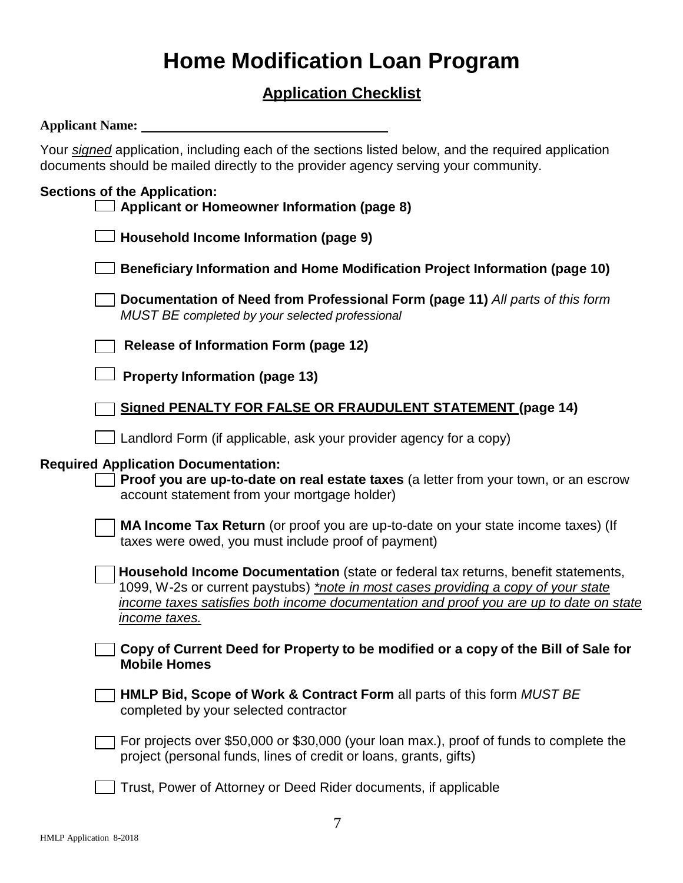# **Home Modification Loan Program**

# **Application Checklist**

#### **Applicant Name:**

Your *signed* application, including each of the sections listed below, and the required application documents should be mailed directly to the provider agency serving your community.

#### **Sections of the Application:**

| $\Box$ Applicant or Homeowner Information (page 8) |  |
|----------------------------------------------------|--|
| $\Box$ Household Income Information (page 9)       |  |

- **Beneficiary Information and Home Modification Project Information (page 10)**
- **Documentation of Need from Professional Form (page 11)** *All parts of this form MUST BE completed by your selected professional*

**Release of Information Form (page 12)** 

**Property Information (page 13)**

|  |  | Signed PENALTY FOR FALSE OR FRAUDULENT STATEMENT (page 14) |  |  |
|--|--|------------------------------------------------------------|--|--|
|--|--|------------------------------------------------------------|--|--|

Landlord Form (if applicable, ask your provider agency for a copy)

#### **Required Application Documentation:**

**Proof you are up-to-date on real estate taxes** (a letter from your town, or an escrow account statement from your mortgage holder)

**MA Income Tax Return** (or proof you are up-to-date on your state income taxes) (If taxes were owed, you must include proof of payment)

**Household Income Documentation** (state or federal tax returns, benefit statements, 1099, W-2s or current paystubs) *\*note in most cases providing a copy of your state income taxes satisfies both income documentation and proof you are up to date on state income taxes.*

**Copy of Current Deed for Property to be modified or a copy of the Bill of Sale for Mobile Homes**

| $\exists$ HMLP Bid, Scope of Work & Contract Form all parts of this form MUST BE |  |
|----------------------------------------------------------------------------------|--|
| completed by your selected contractor                                            |  |

For projects over \$50,000 or \$30,000 (your loan max.), proof of funds to complete the project (personal funds, lines of credit or loans, grants, gifts)

Trust, Power of Attorney or Deed Rider documents, if applicable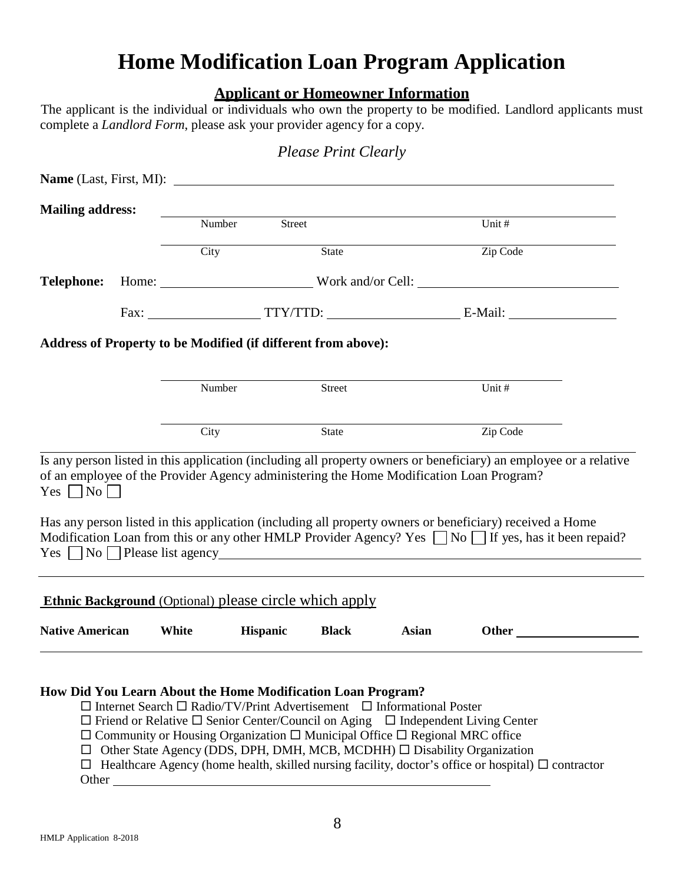# **Home Modification Loan Program Application**

# **Applicant or Homeowner Information**

The applicant is the individual or individuals who own the property to be modified. Landlord applicants must complete a *Landlord Form*, please ask your provider agency for a copy.

| <b>Mailing address:</b> | Number                                                        | Street                                                               | Unit #                                                                                                                                                                                                                                                                                                                   |  |
|-------------------------|---------------------------------------------------------------|----------------------------------------------------------------------|--------------------------------------------------------------------------------------------------------------------------------------------------------------------------------------------------------------------------------------------------------------------------------------------------------------------------|--|
|                         | City                                                          | State                                                                | Zip Code                                                                                                                                                                                                                                                                                                                 |  |
|                         |                                                               |                                                                      |                                                                                                                                                                                                                                                                                                                          |  |
|                         |                                                               |                                                                      |                                                                                                                                                                                                                                                                                                                          |  |
|                         |                                                               |                                                                      |                                                                                                                                                                                                                                                                                                                          |  |
|                         |                                                               | <b>Address of Property to be Modified (if different from above):</b> |                                                                                                                                                                                                                                                                                                                          |  |
|                         | Number                                                        | Street                                                               | Unit #                                                                                                                                                                                                                                                                                                                   |  |
|                         |                                                               |                                                                      |                                                                                                                                                                                                                                                                                                                          |  |
|                         |                                                               |                                                                      |                                                                                                                                                                                                                                                                                                                          |  |
|                         | City                                                          | State                                                                | Zip Code                                                                                                                                                                                                                                                                                                                 |  |
|                         |                                                               |                                                                      | Is any person listed in this application (including all property owners or beneficiary) an employee or a relative<br>of an employee of the Provider Agency administering the Home Modification Loan Program?<br>Has any person listed in this application (including all property owners or beneficiary) received a Home |  |
|                         |                                                               |                                                                      | Modification Loan from this or any other HMLP Provider Agency? Yes $\Box$ No $\Box$ If yes, has it been repaid?<br>$Yes \ \Box No \ \Box Please list agency \_$                                                                                                                                                          |  |
| Yes $\Box$ No $\Box$    | <b>Ethnic Background</b> (Optional) please circle which apply |                                                                      |                                                                                                                                                                                                                                                                                                                          |  |

*Please Print Clearly*

 $\Box$  Friend or Relative  $\Box$  Senior Center/Council on Aging  $\Box$  Independent Living Center

 $\Box$  Community or Housing Organization  $\Box$  Municipal Office  $\Box$  Regional MRC office

 $\Box$  Other State Agency (DDS, DPH, DMH, MCB, MCDHH)  $\Box$  Disability Organization

 $\Box$  Healthcare Agency (home health, skilled nursing facility, doctor's office or hospital)  $\Box$  contractor **Other** and the state of the state of the state of the state of the state of the state of the state of the state of the state of the state of the state of the state of the state of the state of the state of the state of th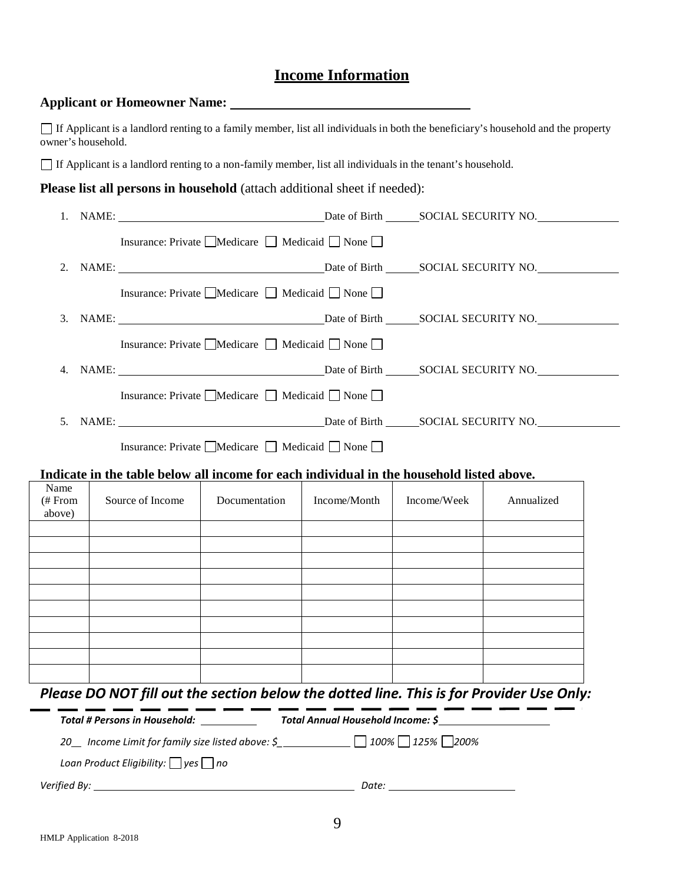# **Income Information**

#### **Applicant or Homeowner Name:**

If Applicant is a landlord renting to a family member, list all individuals in both the beneficiary's household and the property owner's household.

If Applicant is a landlord renting to a non-family member, list all individuals in the tenant's household.

**Please list all persons in household** (attach additional sheet if needed):

|                  |                  | Insurance: Private ■Medicare ■ Medicaid ■ None                                                                                                                                                                    |              |             |                                                                                          |
|------------------|------------------|-------------------------------------------------------------------------------------------------------------------------------------------------------------------------------------------------------------------|--------------|-------------|------------------------------------------------------------------------------------------|
|                  |                  |                                                                                                                                                                                                                   |              |             |                                                                                          |
|                  |                  | Insurance: Private $\Box$ Medicare $\Box$ Medicaid $\Box$ None $\Box$                                                                                                                                             |              |             |                                                                                          |
|                  |                  |                                                                                                                                                                                                                   |              |             |                                                                                          |
|                  |                  | Insurance: Private $\Box$ Medicare $\Box$ Medicaid $\Box$ None $\Box$                                                                                                                                             |              |             |                                                                                          |
|                  |                  |                                                                                                                                                                                                                   |              |             |                                                                                          |
|                  |                  | Insurance: Private ■Medicare ■ Medicaid ■ None                                                                                                                                                                    |              |             |                                                                                          |
|                  |                  |                                                                                                                                                                                                                   |              |             |                                                                                          |
|                  |                  | Insurance: Private $\Box$ Medicare $\Box$ Medicaid $\Box$ None $\Box$                                                                                                                                             |              |             |                                                                                          |
|                  |                  | Indicate in the table below all income for each individual in the household listed above.                                                                                                                         |              |             |                                                                                          |
| Name             |                  |                                                                                                                                                                                                                   |              |             |                                                                                          |
| # From<br>above) | Source of Income | Documentation                                                                                                                                                                                                     | Income/Month | Income/Week | Annualized                                                                               |
|                  |                  |                                                                                                                                                                                                                   |              |             |                                                                                          |
|                  |                  |                                                                                                                                                                                                                   |              |             |                                                                                          |
|                  |                  |                                                                                                                                                                                                                   |              |             |                                                                                          |
|                  |                  |                                                                                                                                                                                                                   |              |             |                                                                                          |
|                  |                  |                                                                                                                                                                                                                   |              |             |                                                                                          |
|                  |                  |                                                                                                                                                                                                                   |              |             |                                                                                          |
|                  |                  |                                                                                                                                                                                                                   |              |             |                                                                                          |
|                  |                  |                                                                                                                                                                                                                   |              |             | Please DO NOT fill out the section below the dotted line. This is for Provider Use Only: |
|                  |                  | Total # Persons in Household: _____________ Total Annual Household Income: \$_______________________<br>20_ Income Limit for family size listed above: \$_________________________________ 100% ___ 125% ___ 200% |              |             |                                                                                          |

*Loan Product Eligibility: yes no*

*Verified By: Date:*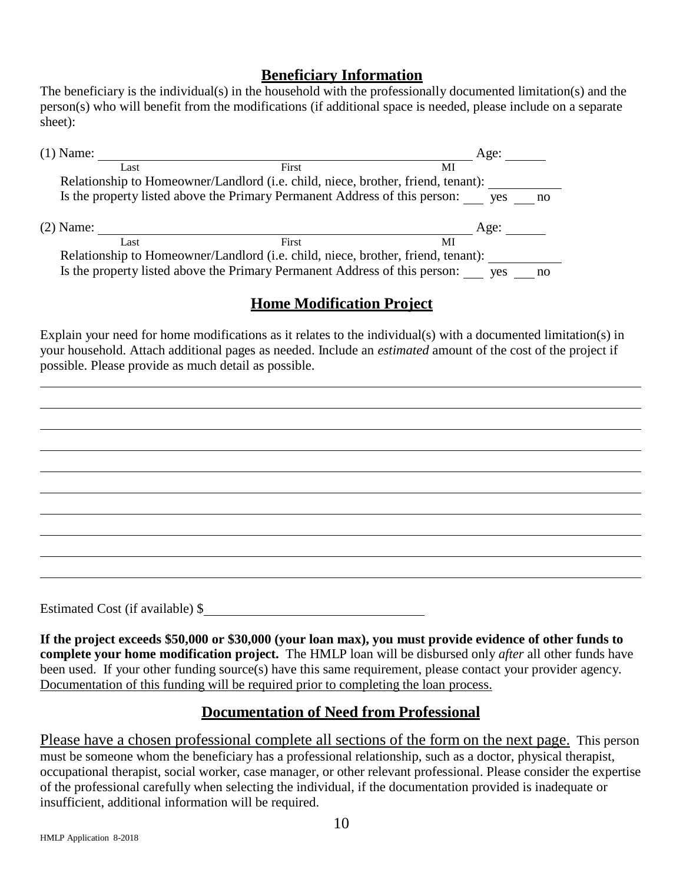### **Beneficiary Information**

The beneficiary is the individual(s) in the household with the professionally documented limitation(s) and the person(s) who will benefit from the modifications (if additional space is needed, please include on a separate sheet):

| $(1)$ Name: |                                                                                  | Age:      |
|-------------|----------------------------------------------------------------------------------|-----------|
| Last        | First                                                                            | МI        |
|             | Relationship to Homeowner/Landlord (i.e. child, niece, brother, friend, tenant): |           |
|             | Is the property listed above the Primary Permanent Address of this person: yes   | no        |
| $(2)$ Name: |                                                                                  | Age:      |
| Last        | First                                                                            | МI        |
|             | Relationship to Homeowner/Landlord (i.e. child, niece, brother, friend, tenant): |           |
|             | Is the property listed above the Primary Permanent Address of this person:       | ves<br>no |

# **Home Modification Project**

Explain your need for home modifications as it relates to the individual(s) with a documented limitation(s) in your household. Attach additional pages as needed. Include an *estimated* amount of the cost of the project if possible. Please provide as much detail as possible.

Estimated Cost (if available) \$

**If the project exceeds \$50,000 or \$30,000 (your loan max), you must provide evidence of other funds to complete your home modification project.** The HMLP loan will be disbursed only *after* all other funds have been used. If your other funding source(s) have this same requirement, please contact your provider agency. Documentation of this funding will be required prior to completing the loan process.

# **Documentation of Need from Professional**

Please have a chosen professional complete all sections of the form on the next page. This person must be someone whom the beneficiary has a professional relationship, such as a doctor, physical therapist, occupational therapist, social worker, case manager, or other relevant professional. Please consider the expertise of the professional carefully when selecting the individual, if the documentation provided is inadequate or insufficient, additional information will be required.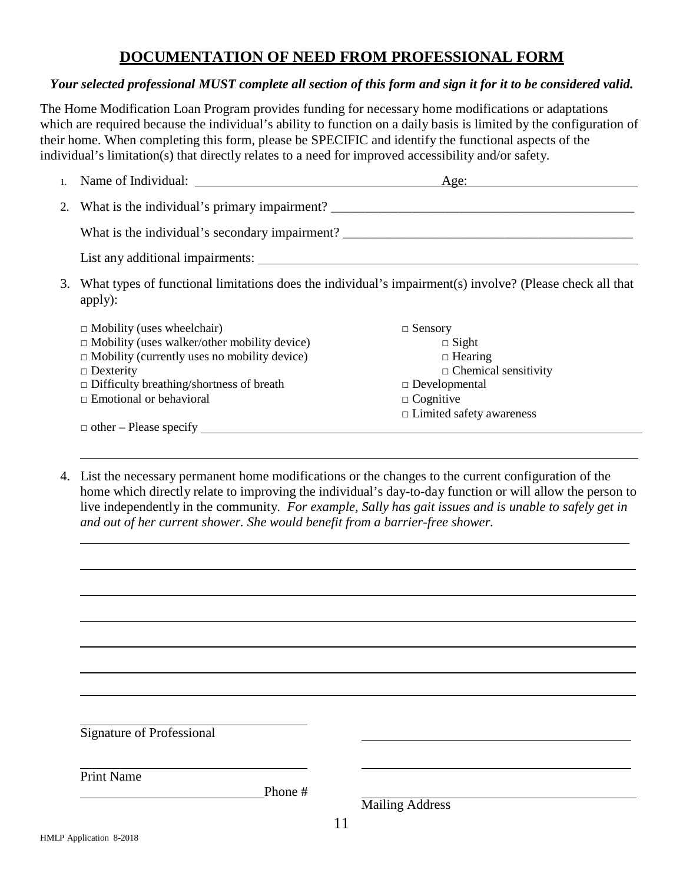# **DOCUMENTATION OF NEED FROM PROFESSIONAL FORM**

#### *Your selected professional MUST complete all section of this form and sign it for it to be considered valid.*

The Home Modification Loan Program provides funding for necessary home modifications or adaptations which are required because the individual's ability to function on a daily basis is limited by the configuration of their home. When completing this form, please be SPECIFIC and identify the functional aspects of the individual's limitation(s) that directly relates to a need for improved accessibility and/or safety.

|    |                                                                                                                                                                                                                                                          | Age:                                                                                                                                                           |
|----|----------------------------------------------------------------------------------------------------------------------------------------------------------------------------------------------------------------------------------------------------------|----------------------------------------------------------------------------------------------------------------------------------------------------------------|
|    | 2. What is the individual's primary impairment?                                                                                                                                                                                                          |                                                                                                                                                                |
|    | What is the individual's secondary impairment?                                                                                                                                                                                                           |                                                                                                                                                                |
|    |                                                                                                                                                                                                                                                          |                                                                                                                                                                |
| 3. | apply):                                                                                                                                                                                                                                                  | What types of functional limitations does the individual's impairment(s) involve? (Please check all that                                                       |
|    | $\Box$ Mobility (uses wheelchair)<br>$\Box$ Mobility (uses walker/other mobility device)<br>$\Box$ Mobility (currently uses no mobility device)<br>$\Box$ Dexterity<br>$\Box$ Difficulty breathing/shortness of breath<br>$\Box$ Emotional or behavioral | $\Box$ Sensory<br>$\Box$ Sight<br>$\Box$ Hearing<br>$\Box$ Chemical sensitivity<br>$\Box$ Developmental<br>$\Box$ Cognitive<br>$\Box$ Limited safety awareness |
|    |                                                                                                                                                                                                                                                          |                                                                                                                                                                |

4. List the necessary permanent home modifications or the changes to the current configuration of the home which directly relate to improving the individual's day-to-day function or will allow the person to live independently in the community. *For example, Sally has gait issues and is unable to safely get in and out of her current shower. She would benefit from a barrier-free shower.*

| Signature of Professional            |         |    |                        |  |
|--------------------------------------|---------|----|------------------------|--|
|                                      |         |    |                        |  |
|                                      |         |    |                        |  |
|                                      |         |    |                        |  |
| <b>Print Name</b>                    |         |    |                        |  |
|                                      | Phone # |    |                        |  |
|                                      |         |    | <b>Mailing Address</b> |  |
|                                      |         |    |                        |  |
|                                      |         | 11 |                        |  |
| $-1!$ $-1!$ $-1!$ $-2!$ $-0$ $-2010$ |         |    |                        |  |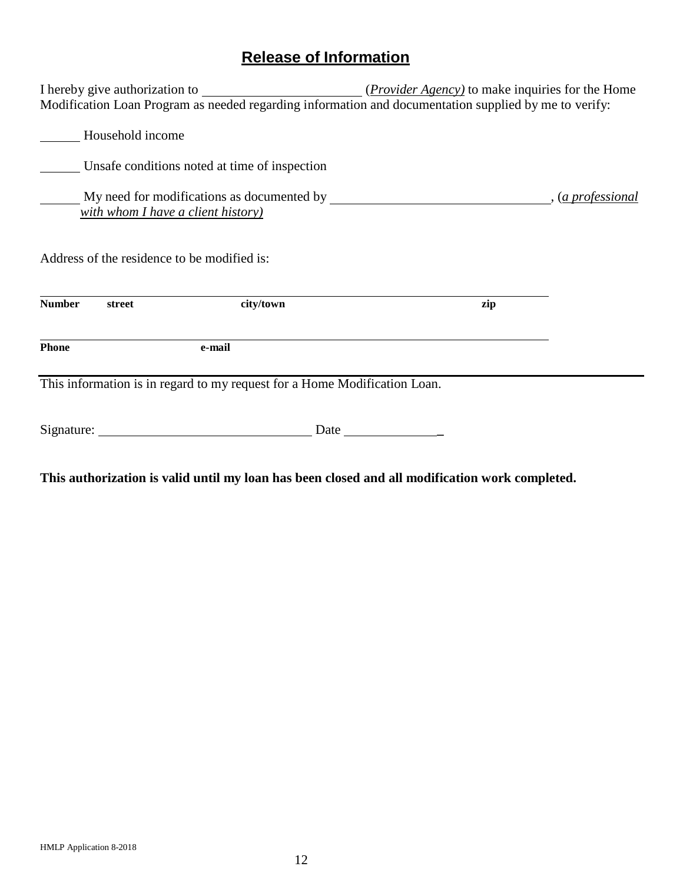# **Release of Information**

| ( <i>Provider Agency</i> ) to make inquiries for the Home                           |                   |  |  |  |
|-------------------------------------------------------------------------------------|-------------------|--|--|--|
|                                                                                     |                   |  |  |  |
| Household income                                                                    |                   |  |  |  |
| Unsafe conditions noted at time of inspection                                       |                   |  |  |  |
|                                                                                     | , (a professional |  |  |  |
| with whom I have a client history)                                                  |                   |  |  |  |
| Address of the residence to be modified is:<br><b>Number</b><br>city/town<br>street | zip               |  |  |  |
| <b>Phone</b><br>e-mail                                                              |                   |  |  |  |
| This information is in regard to my request for a Home Modification Loan.           |                   |  |  |  |
| Date                                                                                |                   |  |  |  |

**This authorization is valid until my loan has been closed and all modification work completed.**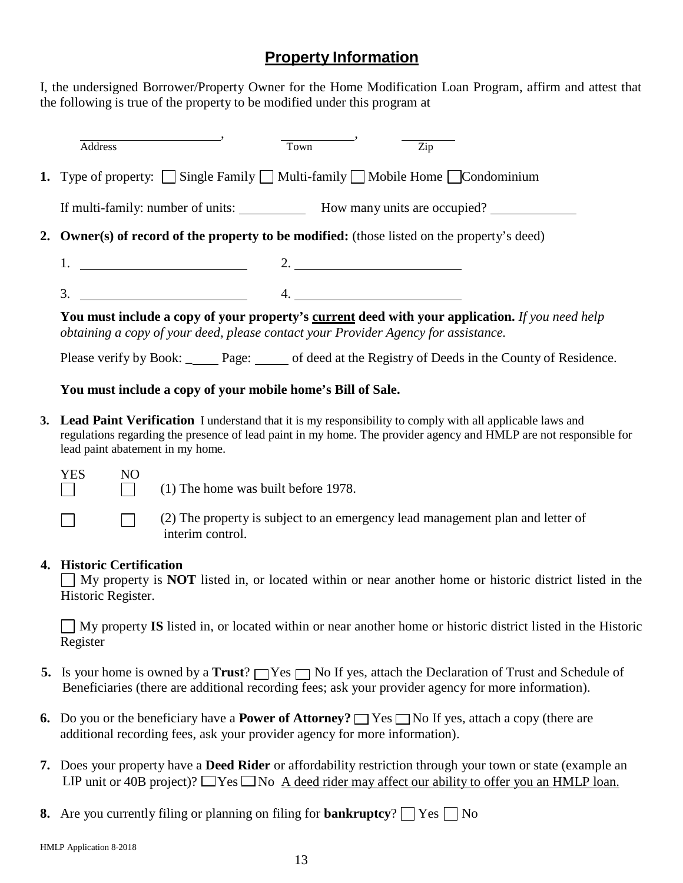# **Property Information**

I, the undersigned Borrower/Property Owner for the Home Modification Loan Program, affirm and attest that the following is true of the property to be modified under this program at

| Address                                                                                                    | Town | Zip                                                                                                    |  |
|------------------------------------------------------------------------------------------------------------|------|--------------------------------------------------------------------------------------------------------|--|
| <b>1.</b> Type of property: $\Box$ Single Family $\Box$ Multi-family $\Box$ Mobile Home $\Box$ Condominium |      |                                                                                                        |  |
|                                                                                                            |      |                                                                                                        |  |
| 2. Owner(s) of record of the property to be modified: (those listed on the property's deed)                |      |                                                                                                        |  |
|                                                                                                            |      | 2. $\qquad \qquad$                                                                                     |  |
| $\overline{\mathbf{3}}$ .                                                                                  |      | $\overline{4}$ .                                                                                       |  |
| obtaining a copy of your deed, please contact your Provider Agency for assistance.                         |      | <b>You must include a copy of your property's current deed with your application.</b> If you need help |  |
|                                                                                                            |      | Please verify by Book: Page: of deed at the Registry of Deeds in the County of Residence.              |  |

#### **You must include a copy of your mobile home's Bill of Sale.**

**3. Lead Paint Verification** I understand that it is my responsibility to comply with all applicable laws and regulations regarding the presence of lead paint in my home. The provider agency and HMLP are not responsible for lead paint abatement in my home.

| L |  |  |
|---|--|--|
|   |  |  |

(1) The home was built before 1978.

 $\blacksquare$ 

(2) The property is subject to an emergency lead management plan and letter of interim control.

#### **4. Historic Certification**

 $NO$ 

 $\Box$ 

 $\vert \ \ \vert$ 

 $\Box$  My property is **NOT** listed in, or located within or near another home or historic district listed in the Historic Register.

My property **IS** listed in, or located within or near another home or historic district listed in the Historic Register

- **5.** Is your home is owned by a **Trust**?  $\Box$  Yes  $\Box$  No If yes, attach the Declaration of Trust and Schedule of Beneficiaries (there are additional recording fees; ask your provider agency for more information).
- **6.** Do you or the beneficiary have a **Power of Attorney?**  $\Box$  Yes  $\Box$  No If yes, attach a copy (there are additional recording fees, ask your provider agency for more information).
- **7.** Does your property have a **Deed Rider** or affordability restriction through your town or state (example an LIP unit or 40B project)?  $\Box$  Yes  $\Box$  No A deed rider may affect our ability to offer you an HMLP loan.
- **8.** Are you currently filing or planning on filing for **bankruptcy**?  $\Box$  Yes  $\Box$  No